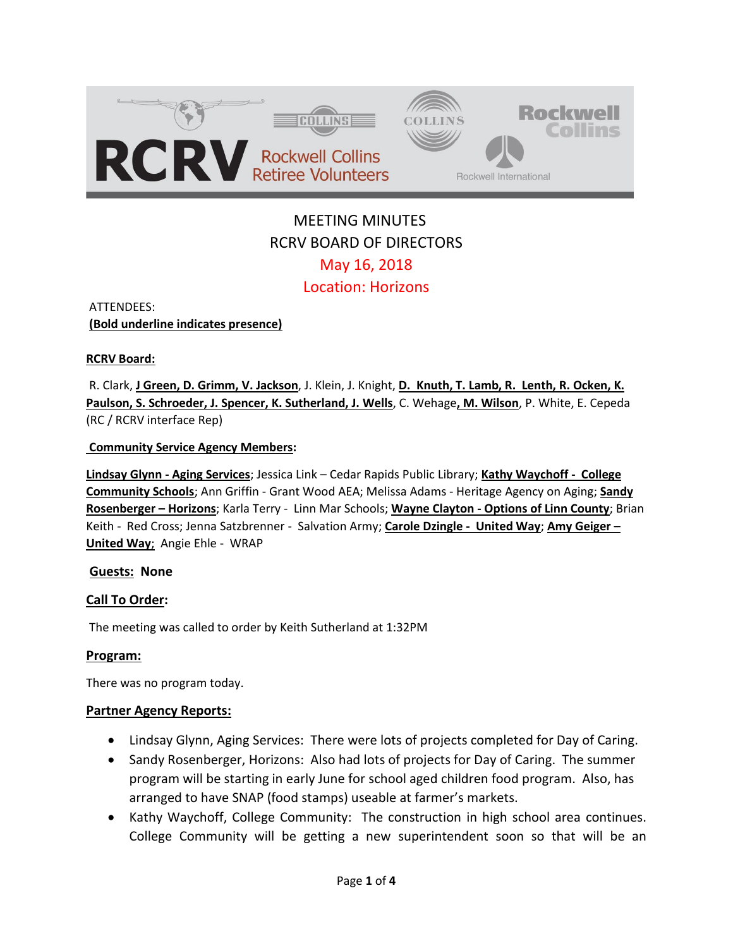

# MEETING MINUTES RCRV BOARD OF DIRECTORS May 16, 2018 Location: Horizons

ATTENDEES: **(Bold underline indicates presence)** 

## **RCRV Board:**

R. Clark, **J Green, D. Grimm, V. Jackson**, J. Klein, J. Knight, **D. Knuth, T. Lamb, R. Lenth, R. Ocken, K. Paulson, S. Schroeder, J. Spencer, K. Sutherland, J. Wells**, C. Wehage**, M. Wilson**, P. White, E. Cepeda (RC / RCRV interface Rep)

## **Community Service Agency Members:**

**Lindsay Glynn - Aging Services**; Jessica Link – Cedar Rapids Public Library; **Kathy Waychoff - College Community Schools**; Ann Griffin - Grant Wood AEA; Melissa Adams - Heritage Agency on Aging; **Sandy Rosenberger – Horizons**; Karla Terry - Linn Mar Schools; **Wayne Clayton - Options of Linn County**; Brian Keith - Red Cross; Jenna Satzbrenner - Salvation Army; **Carole Dzingle - United Way**; **Amy Geiger – United Way**; Angie Ehle - WRAP

## **Guests: None**

## **Call To Order:**

The meeting was called to order by Keith Sutherland at 1:32PM

## **Program:**

There was no program today.

## **Partner Agency Reports:**

- Lindsay Glynn, Aging Services: There were lots of projects completed for Day of Caring.
- Sandy Rosenberger, Horizons: Also had lots of projects for Day of Caring. The summer program will be starting in early June for school aged children food program. Also, has arranged to have SNAP (food stamps) useable at farmer's markets.
- Kathy Waychoff, College Community: The construction in high school area continues. College Community will be getting a new superintendent soon so that will be an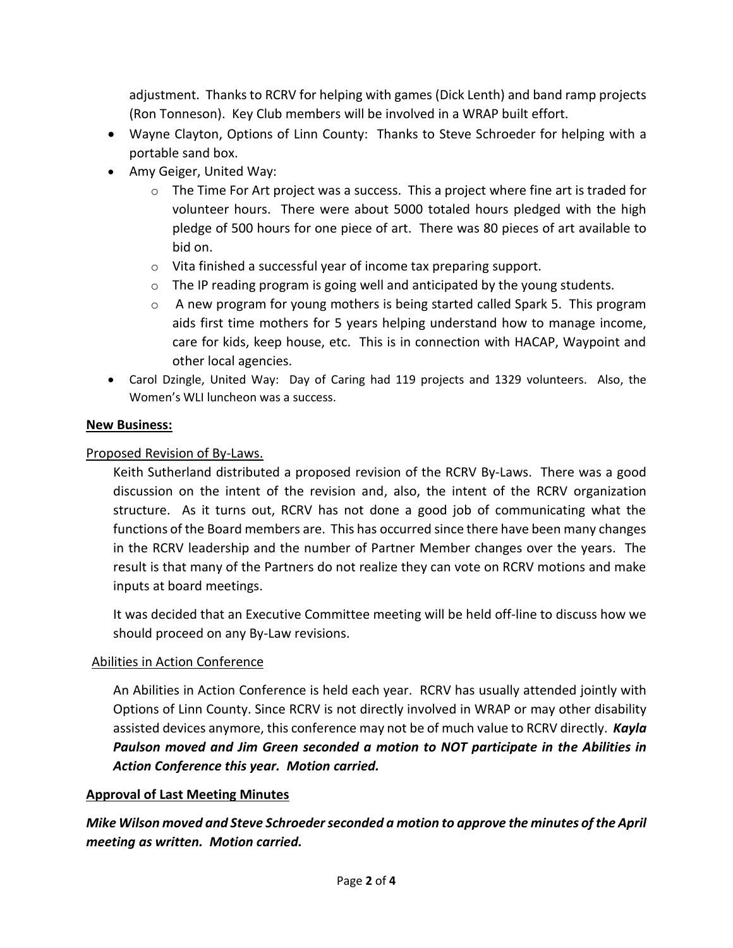adjustment. Thanks to RCRV for helping with games (Dick Lenth) and band ramp projects (Ron Tonneson). Key Club members will be involved in a WRAP built effort.

- Wayne Clayton, Options of Linn County: Thanks to Steve Schroeder for helping with a portable sand box.
- Amy Geiger, United Way:
	- o The Time For Art project was a success. This a project where fine art is traded for volunteer hours. There were about 5000 totaled hours pledged with the high pledge of 500 hours for one piece of art. There was 80 pieces of art available to bid on.
	- o Vita finished a successful year of income tax preparing support.
	- $\circ$  The IP reading program is going well and anticipated by the young students.
	- $\circ$  A new program for young mothers is being started called Spark 5. This program aids first time mothers for 5 years helping understand how to manage income, care for kids, keep house, etc. This is in connection with HACAP, Waypoint and other local agencies.
- Carol Dzingle, United Way: Day of Caring had 119 projects and 1329 volunteers. Also, the Women's WLI luncheon was a success.

# **New Business:**

# Proposed Revision of By-Laws.

Keith Sutherland distributed a proposed revision of the RCRV By-Laws. There was a good discussion on the intent of the revision and, also, the intent of the RCRV organization structure. As it turns out, RCRV has not done a good job of communicating what the functions of the Board members are. This has occurred since there have been many changes in the RCRV leadership and the number of Partner Member changes over the years. The result is that many of the Partners do not realize they can vote on RCRV motions and make inputs at board meetings.

It was decided that an Executive Committee meeting will be held off-line to discuss how we should proceed on any By-Law revisions.

## Abilities in Action Conference

An Abilities in Action Conference is held each year. RCRV has usually attended jointly with Options of Linn County. Since RCRV is not directly involved in WRAP or may other disability assisted devices anymore, this conference may not be of much value to RCRV directly. *Kayla Paulson moved and Jim Green seconded a motion to NOT participate in the Abilities in Action Conference this year. Motion carried.*

## **Approval of Last Meeting Minutes**

*Mike Wilson moved and Steve Schroeder seconded a motion to approve the minutes of the April meeting as written. Motion carried.*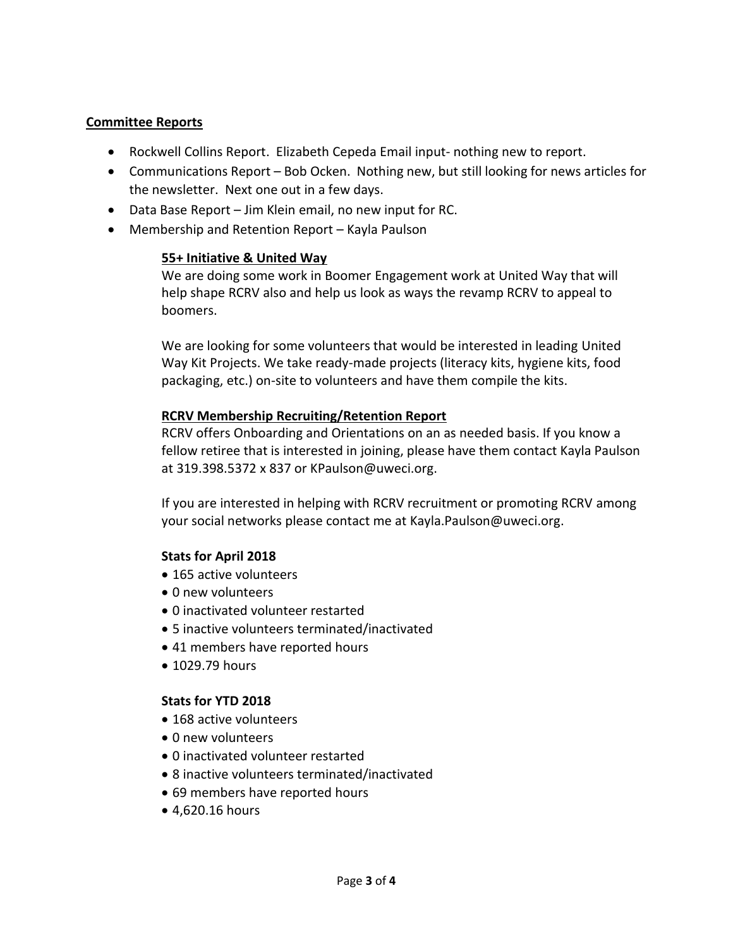## **Committee Reports**

- Rockwell Collins Report. Elizabeth Cepeda Email input- nothing new to report.
- Communications Report Bob Ocken. Nothing new, but still looking for news articles for the newsletter. Next one out in a few days.
- Data Base Report Jim Klein email, no new input for RC.
- Membership and Retention Report Kayla Paulson

## **55+ Initiative & United Way**

We are doing some work in Boomer Engagement work at United Way that will help shape RCRV also and help us look as ways the revamp RCRV to appeal to boomers.

We are looking for some volunteers that would be interested in leading United Way Kit Projects. We take ready-made projects (literacy kits, hygiene kits, food packaging, etc.) on-site to volunteers and have them compile the kits.

## **RCRV Membership Recruiting/Retention Report**

RCRV offers Onboarding and Orientations on an as needed basis. If you know a fellow retiree that is interested in joining, please have them contact Kayla Paulson at 319.398.5372 x 837 or KPaulson@uweci.org.

If you are interested in helping with RCRV recruitment or promoting RCRV among your social networks please contact me at Kayla.Paulson@uweci.org.

## **Stats for April 2018**

- 165 active volunteers
- 0 new volunteers
- 0 inactivated volunteer restarted
- 5 inactive volunteers terminated/inactivated
- 41 members have reported hours
- 1029.79 hours

## **Stats for YTD 2018**

- 168 active volunteers
- 0 new volunteers
- 0 inactivated volunteer restarted
- 8 inactive volunteers terminated/inactivated
- 69 members have reported hours
- 4,620.16 hours